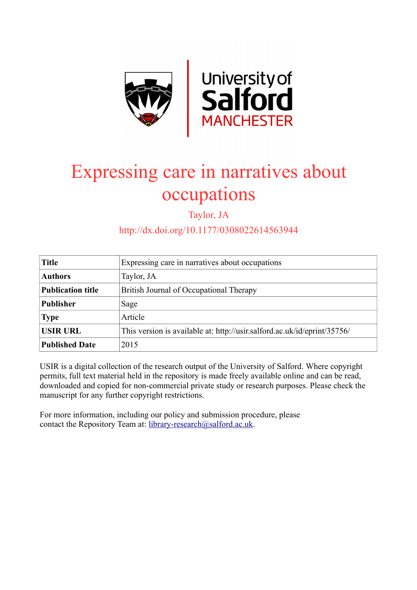

# Expressing care in narratives about occupations

Taylor, JA

http://dx.doi.org/10.1177/0308022614563944

| <b>Title</b>             | Expressing care in narratives about occupations                          |
|--------------------------|--------------------------------------------------------------------------|
| <b>Authors</b>           | Taylor, JA                                                               |
| <b>Publication title</b> | British Journal of Occupational Therapy                                  |
| <b>Publisher</b>         | Sage                                                                     |
| <b>Type</b>              | Article                                                                  |
| <b>USIR URL</b>          | This version is available at: http://usir.salford.ac.uk/id/eprint/35756/ |
| <b>Published Date</b>    | 2015                                                                     |

USIR is a digital collection of the research output of the University of Salford. Where copyright permits, full text material held in the repository is made freely available online and can be read, downloaded and copied for non-commercial private study or research purposes. Please check the manuscript for any further copyright restrictions.

For more information, including our policy and submission procedure, please contact the Repository Team at: [library-research@salford.ac.uk.](mailto:library-research@salford.ac.uk)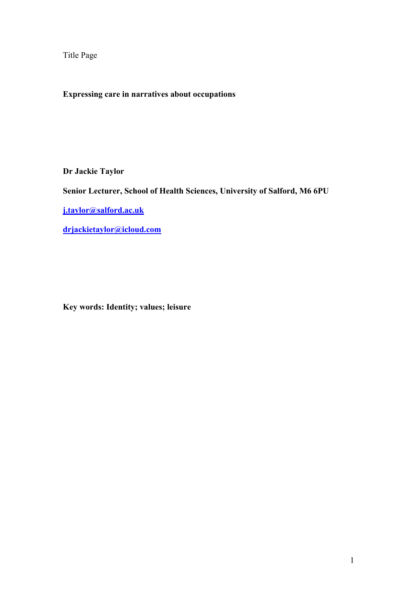Title Page

**Expressing care in narratives about occupations**

**Dr Jackie Taylor**

**Senior Lecturer, School of Health Sciences, University of Salford, M6 6PU**

**j.taylor@salford.ac.uk**

**drjackietaylor@icloud.com**

**Key words: Identity; values; leisure**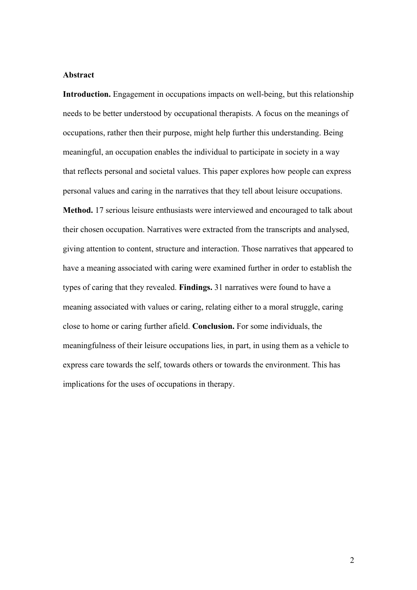## **Abstract**

**Introduction.** Engagement in occupations impacts on well-being, but this relationship needs to be better understood by occupational therapists. A focus on the meanings of occupations, rather then their purpose, might help further this understanding. Being meaningful, an occupation enables the individual to participate in society in a way that reflects personal and societal values. This paper explores how people can express personal values and caring in the narratives that they tell about leisure occupations. **Method.** 17 serious leisure enthusiasts were interviewed and encouraged to talk about their chosen occupation. Narratives were extracted from the transcripts and analysed, giving attention to content, structure and interaction. Those narratives that appeared to have a meaning associated with caring were examined further in order to establish the types of caring that they revealed. **Findings.** 31 narratives were found to have a meaning associated with values or caring, relating either to a moral struggle, caring close to home or caring further afield. **Conclusion.** For some individuals, the meaningfulness of their leisure occupations lies, in part, in using them as a vehicle to express care towards the self, towards others or towards the environment. This has implications for the uses of occupations in therapy.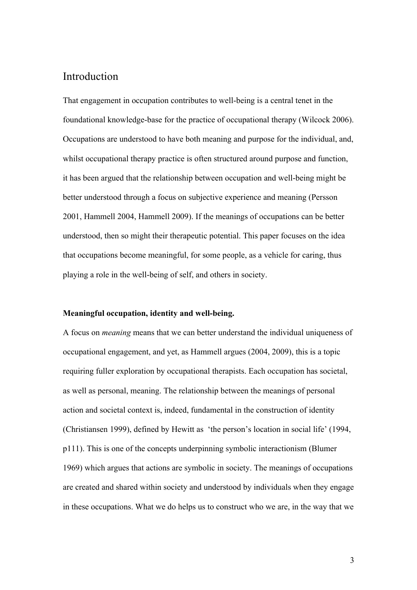# Introduction

That engagement in occupation contributes to well-being is a central tenet in the foundational knowledge-base for the practice of occupational therapy (Wilcock 2006). Occupations are understood to have both meaning and purpose for the individual, and, whilst occupational therapy practice is often structured around purpose and function, it has been argued that the relationship between occupation and well-being might be better understood through a focus on subjective experience and meaning (Persson 2001, Hammell 2004, Hammell 2009). If the meanings of occupations can be better understood, then so might their therapeutic potential. This paper focuses on the idea that occupations become meaningful, for some people, as a vehicle for caring, thus playing a role in the well-being of self, and others in society.

#### **Meaningful occupation, identity and well-being.**

A focus on *meaning* means that we can better understand the individual uniqueness of occupational engagement, and yet, as Hammell argues (2004, 2009), this is a topic requiring fuller exploration by occupational therapists. Each occupation has societal, as well as personal, meaning. The relationship between the meanings of personal action and societal context is, indeed, fundamental in the construction of identity (Christiansen 1999), defined by Hewitt as 'the person's location in social life' (1994, p111). This is one of the concepts underpinning symbolic interactionism (Blumer 1969) which argues that actions are symbolic in society. The meanings of occupations are created and shared within society and understood by individuals when they engage in these occupations. What we do helps us to construct who we are, in the way that we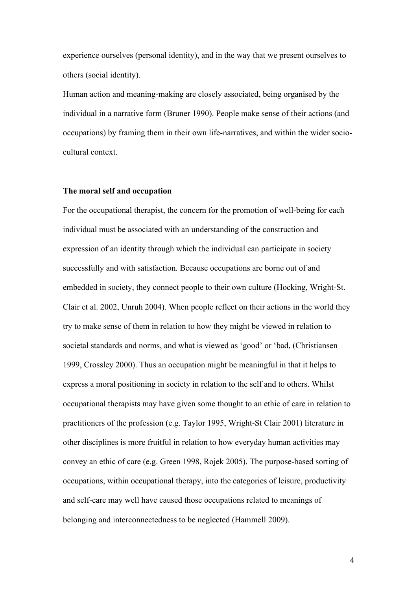experience ourselves (personal identity), and in the way that we present ourselves to others (social identity).

Human action and meaning-making are closely associated, being organised by the individual in a narrative form (Bruner 1990). People make sense of their actions (and occupations) by framing them in their own life-narratives, and within the wider sociocultural context.

#### **The moral self and occupation**

For the occupational therapist, the concern for the promotion of well-being for each individual must be associated with an understanding of the construction and expression of an identity through which the individual can participate in society successfully and with satisfaction. Because occupations are borne out of and embedded in society, they connect people to their own culture (Hocking, Wright-St. Clair et al. 2002, Unruh 2004). When people reflect on their actions in the world they try to make sense of them in relation to how they might be viewed in relation to societal standards and norms, and what is viewed as 'good' or 'bad, (Christiansen 1999, Crossley 2000). Thus an occupation might be meaningful in that it helps to express a moral positioning in society in relation to the self and to others. Whilst occupational therapists may have given some thought to an ethic of care in relation to practitioners of the profession (e.g. Taylor 1995, Wright-St Clair 2001) literature in other disciplines is more fruitful in relation to how everyday human activities may convey an ethic of care (e.g. Green 1998, Rojek 2005). The purpose-based sorting of occupations, within occupational therapy, into the categories of leisure, productivity and self-care may well have caused those occupations related to meanings of belonging and interconnectedness to be neglected (Hammell 2009).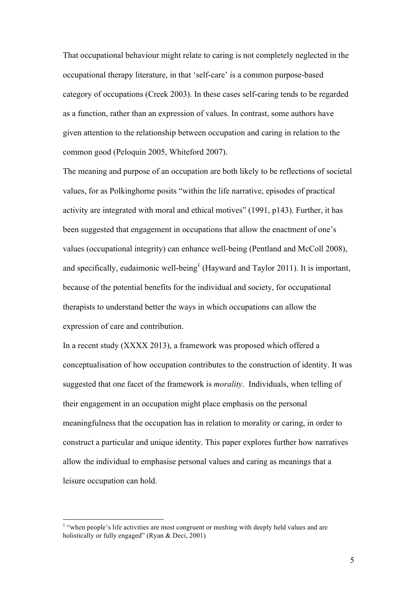That occupational behaviour might relate to caring is not completely neglected in the occupational therapy literature, in that 'self-care' is a common purpose-based category of occupations (Creek 2003). In these cases self-caring tends to be regarded as a function, rather than an expression of values. In contrast, some authors have given attention to the relationship between occupation and caring in relation to the common good (Peloquin 2005, Whiteford 2007).

The meaning and purpose of an occupation are both likely to be reflections of societal values, for as Polkinghorne posits "within the life narrative, episodes of practical activity are integrated with moral and ethical motives" (1991, p143). Further, it has been suggested that engagement in occupations that allow the enactment of one's values (occupational integrity) can enhance well-being (Pentland and McColl 2008), and specifically, eudaimonic well-being<sup>1</sup> (Hayward and Taylor 2011). It is important, because of the potential benefits for the individual and society, for occupational therapists to understand better the ways in which occupations can allow the expression of care and contribution.

In a recent study (XXXX 2013), a framework was proposed which offered a conceptualisation of how occupation contributes to the construction of identity. It was suggested that one facet of the framework is *morality*. Individuals, when telling of their engagement in an occupation might place emphasis on the personal meaningfulness that the occupation has in relation to morality or caring, in order to construct a particular and unique identity. This paper explores further how narratives allow the individual to emphasise personal values and caring as meanings that a leisure occupation can hold.

<sup>&</sup>lt;sup>1</sup> "when people's life activities are most congruent or meshing with deeply held values and are holistically or fully engaged" (Ryan & Deci, 2001)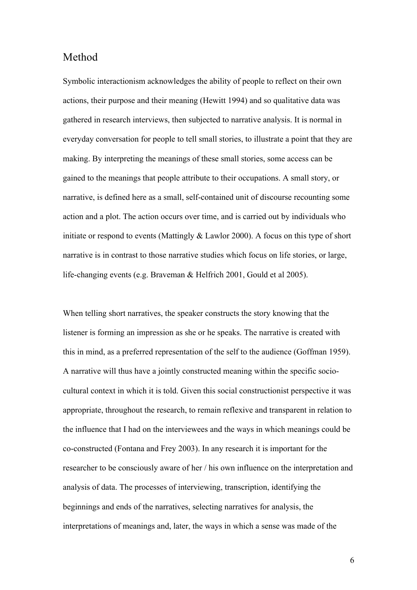# Method

Symbolic interactionism acknowledges the ability of people to reflect on their own actions, their purpose and their meaning (Hewitt 1994) and so qualitative data was gathered in research interviews, then subjected to narrative analysis. It is normal in everyday conversation for people to tell small stories, to illustrate a point that they are making. By interpreting the meanings of these small stories, some access can be gained to the meanings that people attribute to their occupations. A small story, or narrative, is defined here as a small, self-contained unit of discourse recounting some action and a plot. The action occurs over time, and is carried out by individuals who initiate or respond to events (Mattingly  $& Lawlor 2000$ ). A focus on this type of short narrative is in contrast to those narrative studies which focus on life stories, or large, life-changing events (e.g. Braveman & Helfrich 2001, Gould et al 2005).

When telling short narratives, the speaker constructs the story knowing that the listener is forming an impression as she or he speaks. The narrative is created with this in mind, as a preferred representation of the self to the audience (Goffman 1959). A narrative will thus have a jointly constructed meaning within the specific sociocultural context in which it is told. Given this social constructionist perspective it was appropriate, throughout the research, to remain reflexive and transparent in relation to the influence that I had on the interviewees and the ways in which meanings could be co-constructed (Fontana and Frey 2003). In any research it is important for the researcher to be consciously aware of her / his own influence on the interpretation and analysis of data. The processes of interviewing, transcription, identifying the beginnings and ends of the narratives, selecting narratives for analysis, the interpretations of meanings and, later, the ways in which a sense was made of the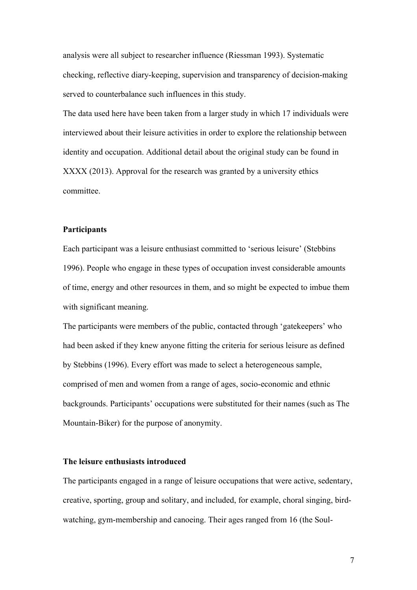analysis were all subject to researcher influence (Riessman 1993). Systematic checking, reflective diary-keeping, supervision and transparency of decision-making served to counterbalance such influences in this study.

The data used here have been taken from a larger study in which 17 individuals were interviewed about their leisure activities in order to explore the relationship between identity and occupation. Additional detail about the original study can be found in XXXX (2013). Approval for the research was granted by a university ethics committee.

#### **Participants**

Each participant was a leisure enthusiast committed to 'serious leisure' (Stebbins 1996). People who engage in these types of occupation invest considerable amounts of time, energy and other resources in them, and so might be expected to imbue them with significant meaning.

The participants were members of the public, contacted through 'gatekeepers' who had been asked if they knew anyone fitting the criteria for serious leisure as defined by Stebbins (1996). Every effort was made to select a heterogeneous sample, comprised of men and women from a range of ages, socio-economic and ethnic backgrounds. Participants' occupations were substituted for their names (such as The Mountain-Biker) for the purpose of anonymity.

#### **The leisure enthusiasts introduced**

The participants engaged in a range of leisure occupations that were active, sedentary, creative, sporting, group and solitary, and included, for example, choral singing, birdwatching, gym-membership and canoeing. Their ages ranged from 16 (the Soul-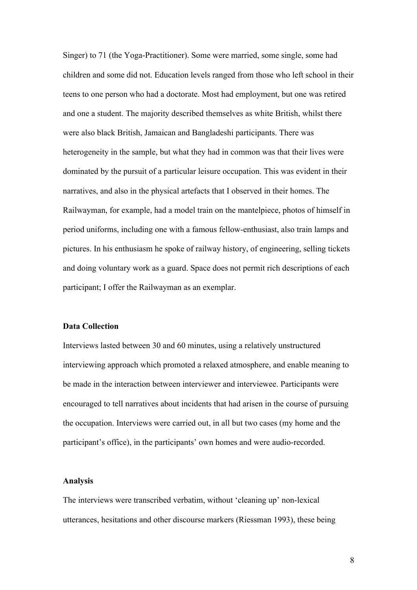Singer) to 71 (the Yoga-Practitioner). Some were married, some single, some had children and some did not. Education levels ranged from those who left school in their teens to one person who had a doctorate. Most had employment, but one was retired and one a student. The majority described themselves as white British, whilst there were also black British, Jamaican and Bangladeshi participants. There was heterogeneity in the sample, but what they had in common was that their lives were dominated by the pursuit of a particular leisure occupation. This was evident in their narratives, and also in the physical artefacts that I observed in their homes. The Railwayman, for example, had a model train on the mantelpiece, photos of himself in period uniforms, including one with a famous fellow-enthusiast, also train lamps and pictures. In his enthusiasm he spoke of railway history, of engineering, selling tickets and doing voluntary work as a guard. Space does not permit rich descriptions of each participant; I offer the Railwayman as an exemplar.

#### **Data Collection**

Interviews lasted between 30 and 60 minutes, using a relatively unstructured interviewing approach which promoted a relaxed atmosphere, and enable meaning to be made in the interaction between interviewer and interviewee. Participants were encouraged to tell narratives about incidents that had arisen in the course of pursuing the occupation. Interviews were carried out, in all but two cases (my home and the participant's office), in the participants' own homes and were audio-recorded.

#### **Analysis**

The interviews were transcribed verbatim, without 'cleaning up' non-lexical utterances, hesitations and other discourse markers (Riessman 1993), these being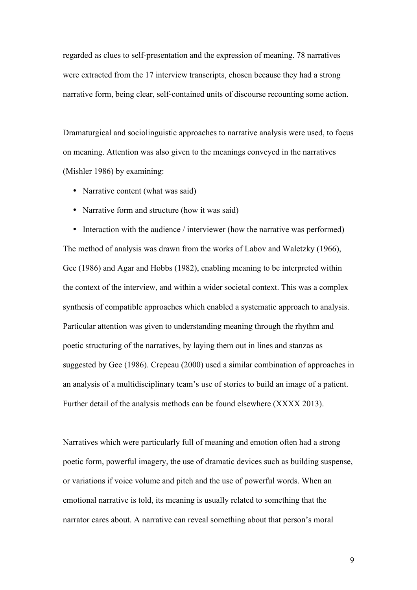regarded as clues to self-presentation and the expression of meaning. 78 narratives were extracted from the 17 interview transcripts, chosen because they had a strong narrative form, being clear, self-contained units of discourse recounting some action.

Dramaturgical and sociolinguistic approaches to narrative analysis were used, to focus on meaning. Attention was also given to the meanings conveyed in the narratives (Mishler 1986) by examining:

- Narrative content (what was said)
- Narrative form and structure (how it was said)

• Interaction with the audience / interviewer (how the narrative was performed) The method of analysis was drawn from the works of Labov and Waletzky (1966), Gee (1986) and Agar and Hobbs (1982), enabling meaning to be interpreted within the context of the interview, and within a wider societal context. This was a complex synthesis of compatible approaches which enabled a systematic approach to analysis. Particular attention was given to understanding meaning through the rhythm and poetic structuring of the narratives, by laying them out in lines and stanzas as suggested by Gee (1986). Crepeau (2000) used a similar combination of approaches in an analysis of a multidisciplinary team's use of stories to build an image of a patient. Further detail of the analysis methods can be found elsewhere (XXXX 2013).

Narratives which were particularly full of meaning and emotion often had a strong poetic form, powerful imagery, the use of dramatic devices such as building suspense, or variations if voice volume and pitch and the use of powerful words. When an emotional narrative is told, its meaning is usually related to something that the narrator cares about. A narrative can reveal something about that person's moral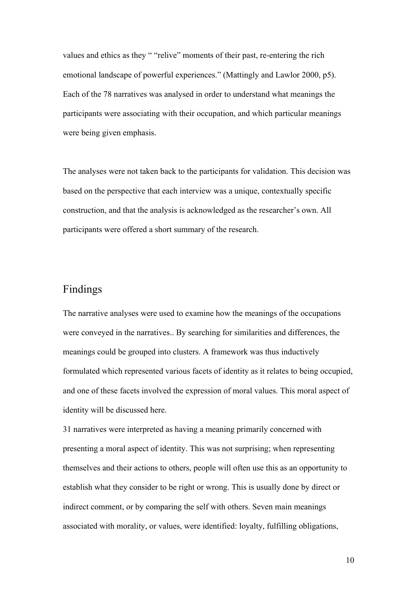values and ethics as they " "relive" moments of their past, re-entering the rich emotional landscape of powerful experiences." (Mattingly and Lawlor 2000, p5). Each of the 78 narratives was analysed in order to understand what meanings the participants were associating with their occupation, and which particular meanings were being given emphasis.

The analyses were not taken back to the participants for validation. This decision was based on the perspective that each interview was a unique, contextually specific construction, and that the analysis is acknowledged as the researcher's own. All participants were offered a short summary of the research.

# Findings

The narrative analyses were used to examine how the meanings of the occupations were conveyed in the narratives.. By searching for similarities and differences, the meanings could be grouped into clusters. A framework was thus inductively formulated which represented various facets of identity as it relates to being occupied, and one of these facets involved the expression of moral values. This moral aspect of identity will be discussed here.

31 narratives were interpreted as having a meaning primarily concerned with presenting a moral aspect of identity. This was not surprising; when representing themselves and their actions to others, people will often use this as an opportunity to establish what they consider to be right or wrong. This is usually done by direct or indirect comment, or by comparing the self with others. Seven main meanings associated with morality, or values, were identified: loyalty, fulfilling obligations,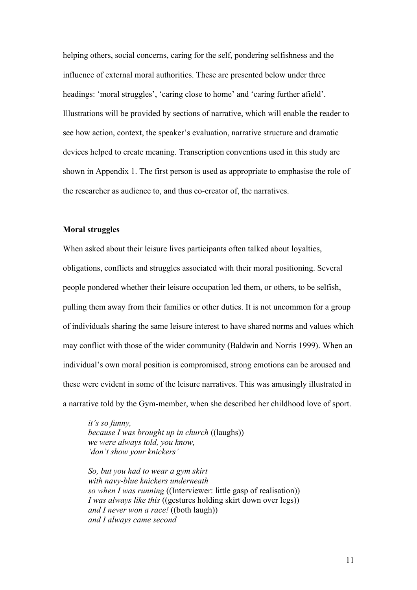helping others, social concerns, caring for the self, pondering selfishness and the influence of external moral authorities. These are presented below under three headings: 'moral struggles', 'caring close to home' and 'caring further afield'. Illustrations will be provided by sections of narrative, which will enable the reader to see how action, context, the speaker's evaluation, narrative structure and dramatic devices helped to create meaning. Transcription conventions used in this study are shown in Appendix 1. The first person is used as appropriate to emphasise the role of the researcher as audience to, and thus co-creator of, the narratives.

#### **Moral struggles**

When asked about their leisure lives participants often talked about loyalties, obligations, conflicts and struggles associated with their moral positioning. Several people pondered whether their leisure occupation led them, or others, to be selfish, pulling them away from their families or other duties. It is not uncommon for a group of individuals sharing the same leisure interest to have shared norms and values which may conflict with those of the wider community (Baldwin and Norris 1999). When an individual's own moral position is compromised, strong emotions can be aroused and these were evident in some of the leisure narratives. This was amusingly illustrated in a narrative told by the Gym-member, when she described her childhood love of sport.

*it's so funny, because I was brought up in church* ((laughs)) *we were always told, you know, 'don't show your knickers'*

*So, but you had to wear a gym skirt with navy-blue knickers underneath so when I was running* ((Interviewer: little gasp of realisation)) *I was always like this* ((gestures holding skirt down over legs)) *and I never won a race!* ((both laugh)) *and I always came second*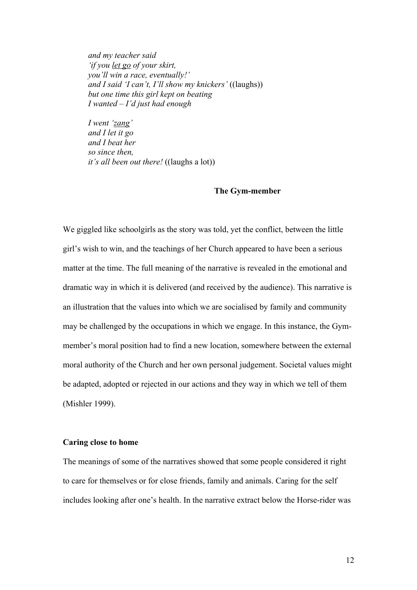*and my teacher said 'if you let go of your skirt, you'll win a race, eventually!' and I said 'I can't, I'll show my knickers'* ((laughs)) *but one time this girl kept on beating I wanted – I'd just had enough*

*I went 'zang' and I let it go and I beat her so since then, it's all been out there!* ((laughs a lot))

#### **The Gym-member**

We giggled like schoolgirls as the story was told, yet the conflict, between the little girl's wish to win, and the teachings of her Church appeared to have been a serious matter at the time. The full meaning of the narrative is revealed in the emotional and dramatic way in which it is delivered (and received by the audience). This narrative is an illustration that the values into which we are socialised by family and community may be challenged by the occupations in which we engage. In this instance, the Gymmember's moral position had to find a new location, somewhere between the external moral authority of the Church and her own personal judgement. Societal values might be adapted, adopted or rejected in our actions and they way in which we tell of them (Mishler 1999).

#### **Caring close to home**

The meanings of some of the narratives showed that some people considered it right to care for themselves or for close friends, family and animals. Caring for the self includes looking after one's health. In the narrative extract below the Horse-rider was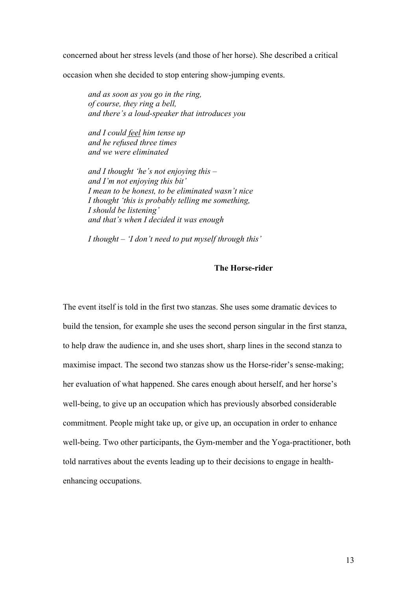concerned about her stress levels (and those of her horse). She described a critical

occasion when she decided to stop entering show-jumping events.

*and as soon as you go in the ring, of course, they ring a bell, and there's a loud-speaker that introduces you* 

*and I could feel him tense up and he refused three times and we were eliminated* 

*and I thought 'he's not enjoying this – and I'm not enjoying this bit' I mean to be honest, to be eliminated wasn't nice I thought 'this is probably telling me something, I should be listening' and that's when I decided it was enough*

*I thought – 'I don't need to put myself through this'* 

## **The Horse-rider**

The event itself is told in the first two stanzas. She uses some dramatic devices to build the tension, for example she uses the second person singular in the first stanza, to help draw the audience in, and she uses short, sharp lines in the second stanza to maximise impact. The second two stanzas show us the Horse-rider's sense-making; her evaluation of what happened. She cares enough about herself, and her horse's well-being, to give up an occupation which has previously absorbed considerable commitment. People might take up, or give up, an occupation in order to enhance well-being. Two other participants, the Gym-member and the Yoga-practitioner, both told narratives about the events leading up to their decisions to engage in healthenhancing occupations.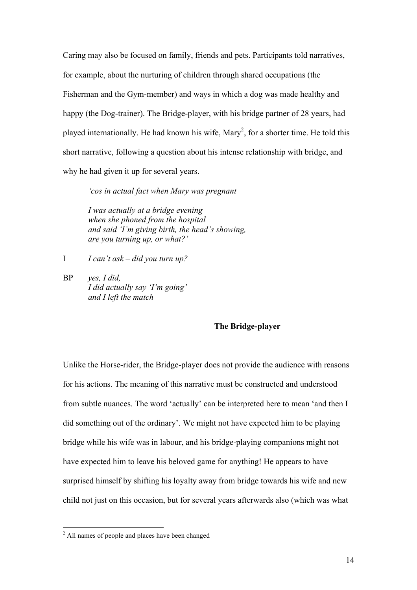Caring may also be focused on family, friends and pets. Participants told narratives, for example, about the nurturing of children through shared occupations (the Fisherman and the Gym-member) and ways in which a dog was made healthy and happy (the Dog-trainer). The Bridge-player, with his bridge partner of 28 years, had played internationally. He had known his wife,  $Mary<sup>2</sup>$ , for a shorter time. He told this short narrative, following a question about his intense relationship with bridge, and why he had given it up for several years.

*'cos in actual fact when Mary was pregnant* 

*I was actually at a bridge evening when she phoned from the hospital and said 'I'm giving birth, the head's showing, are you turning up, or what?'*

I *I can't ask – did you turn up?*

BP *yes, I did, I did actually say 'I'm going' and I left the match*

## **The Bridge-player**

Unlike the Horse-rider, the Bridge-player does not provide the audience with reasons for his actions. The meaning of this narrative must be constructed and understood from subtle nuances. The word 'actually' can be interpreted here to mean 'and then I did something out of the ordinary'. We might not have expected him to be playing bridge while his wife was in labour, and his bridge-playing companions might not have expected him to leave his beloved game for anything! He appears to have surprised himself by shifting his loyalty away from bridge towards his wife and new child not just on this occasion, but for several years afterwards also (which was what

 $\frac{1}{2}$ <sup>2</sup> All names of people and places have been changed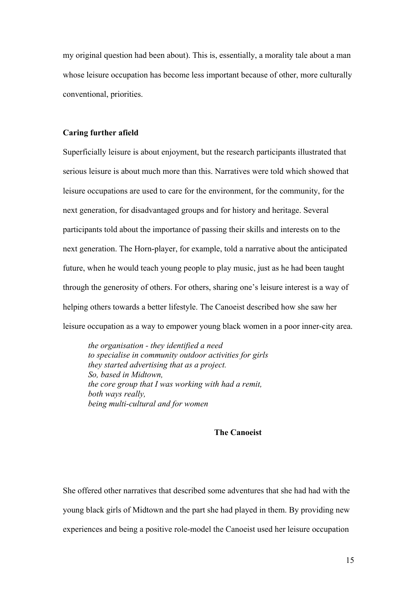my original question had been about). This is, essentially, a morality tale about a man whose leisure occupation has become less important because of other, more culturally conventional, priorities.

#### **Caring further afield**

Superficially leisure is about enjoyment, but the research participants illustrated that serious leisure is about much more than this. Narratives were told which showed that leisure occupations are used to care for the environment, for the community, for the next generation, for disadvantaged groups and for history and heritage. Several participants told about the importance of passing their skills and interests on to the next generation. The Horn-player, for example, told a narrative about the anticipated future, when he would teach young people to play music, just as he had been taught through the generosity of others. For others, sharing one's leisure interest is a way of helping others towards a better lifestyle. The Canoeist described how she saw her leisure occupation as a way to empower young black women in a poor inner-city area.

*the organisation - they identified a need to specialise in community outdoor activities for girls they started advertising that as a project. So, based in Midtown, the core group that I was working with had a remit, both ways really, being multi-cultural and for women*

#### **The Canoeist**

She offered other narratives that described some adventures that she had had with the young black girls of Midtown and the part she had played in them. By providing new experiences and being a positive role-model the Canoeist used her leisure occupation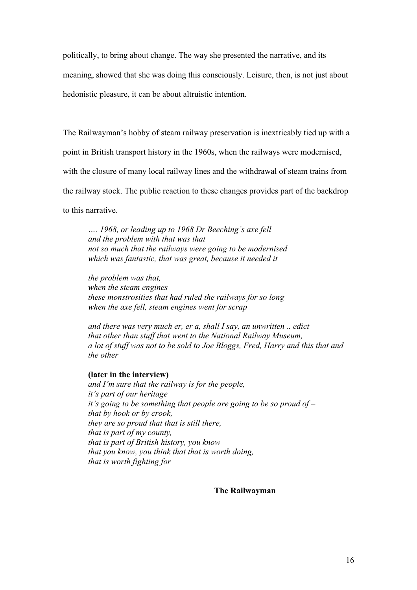politically, to bring about change. The way she presented the narrative, and its meaning, showed that she was doing this consciously. Leisure, then, is not just about hedonistic pleasure, it can be about altruistic intention.

The Railwayman's hobby of steam railway preservation is inextricably tied up with a point in British transport history in the 1960s, when the railways were modernised, with the closure of many local railway lines and the withdrawal of steam trains from the railway stock. The public reaction to these changes provides part of the backdrop to this narrative.

*…. 1968, or leading up to 1968 Dr Beeching's axe fell and the problem with that was that not so much that the railways were going to be modernised which was fantastic, that was great, because it needed it*

*the problem was that, when the steam engines these monstrosities that had ruled the railways for so long when the axe fell, steam engines went for scrap*

*and there was very much er, er a, shall I say, an unwritten .. edict that other than stuff that went to the National Railway Museum, a lot of stuff was not to be sold to Joe Bloggs, Fred, Harry and this that and the other*

## **(later in the interview)**

*and I'm sure that the railway is for the people, it's part of our heritage it's going to be something that people are going to be so proud of – that by hook or by crook, they are so proud that that is still there, that is part of my county, that is part of British history, you know that you know, you think that that is worth doing, that is worth fighting for*

**The Railwayman**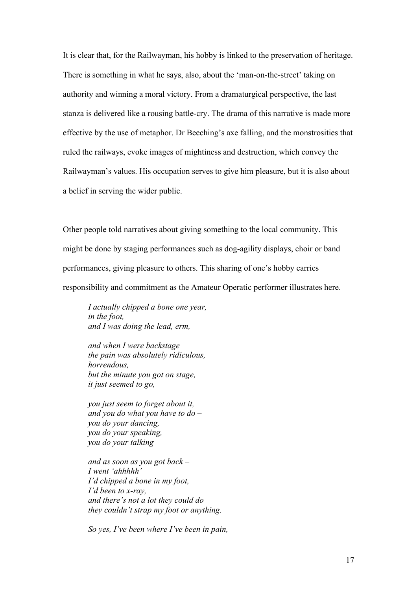It is clear that, for the Railwayman, his hobby is linked to the preservation of heritage. There is something in what he says, also, about the 'man-on-the-street' taking on authority and winning a moral victory. From a dramaturgical perspective, the last stanza is delivered like a rousing battle-cry. The drama of this narrative is made more effective by the use of metaphor. Dr Beeching's axe falling, and the monstrosities that ruled the railways, evoke images of mightiness and destruction, which convey the Railwayman's values. His occupation serves to give him pleasure, but it is also about a belief in serving the wider public.

Other people told narratives about giving something to the local community. This might be done by staging performances such as dog-agility displays, choir or band performances, giving pleasure to others. This sharing of one's hobby carries responsibility and commitment as the Amateur Operatic performer illustrates here.

*I actually chipped a bone one year, in the foot, and I was doing the lead, erm,* 

*and when I were backstage the pain was absolutely ridiculous, horrendous, but the minute you got on stage, it just seemed to go,*

*you just seem to forget about it, and you do what you have to do – you do your dancing, you do your speaking, you do your talking*

*and as soon as you got back – I went 'ahhhhh' I'd chipped a bone in my foot, I'd been to x-ray, and there's not a lot they could do they couldn't strap my foot or anything.* 

*So yes, I've been where I've been in pain,*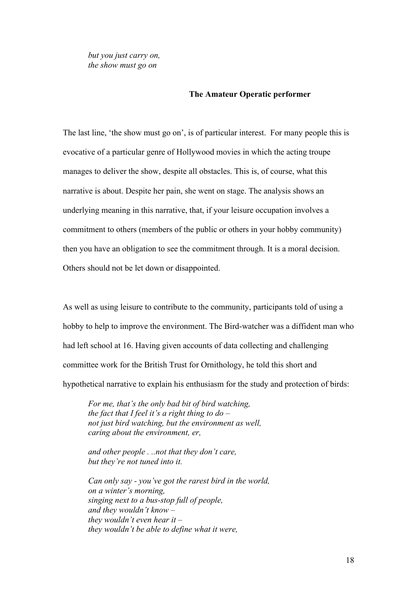## **The Amateur Operatic performer**

The last line, 'the show must go on', is of particular interest. For many people this is evocative of a particular genre of Hollywood movies in which the acting troupe manages to deliver the show, despite all obstacles. This is, of course, what this narrative is about. Despite her pain, she went on stage. The analysis shows an underlying meaning in this narrative, that, if your leisure occupation involves a commitment to others (members of the public or others in your hobby community) then you have an obligation to see the commitment through. It is a moral decision. Others should not be let down or disappointed.

As well as using leisure to contribute to the community, participants told of using a hobby to help to improve the environment. The Bird-watcher was a diffident man who had left school at 16. Having given accounts of data collecting and challenging committee work for the British Trust for Ornithology, he told this short and hypothetical narrative to explain his enthusiasm for the study and protection of birds:

*For me, that's the only bad bit of bird watching, the fact that I feel it's a right thing to do – not just bird watching, but the environment as well, caring about the environment, er,* 

*and other people . ..not that they don't care, but they're not tuned into it.* 

*Can only say - you've got the rarest bird in the world, on a winter's morning, singing next to a bus-stop full of people, and they wouldn't know – they wouldn't even hear it – they wouldn't be able to define what it were,*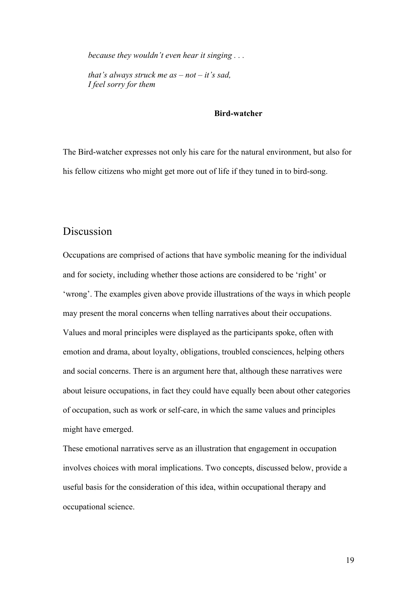*because they wouldn't even hear it singing . . .*

*that's always struck me as – not – it's sad, I feel sorry for them*

## **Bird-watcher**

The Bird-watcher expresses not only his care for the natural environment, but also for his fellow citizens who might get more out of life if they tuned in to bird-song.

# Discussion

Occupations are comprised of actions that have symbolic meaning for the individual and for society, including whether those actions are considered to be 'right' or 'wrong'. The examples given above provide illustrations of the ways in which people may present the moral concerns when telling narratives about their occupations. Values and moral principles were displayed as the participants spoke, often with emotion and drama, about loyalty, obligations, troubled consciences, helping others and social concerns. There is an argument here that, although these narratives were about leisure occupations, in fact they could have equally been about other categories of occupation, such as work or self-care, in which the same values and principles might have emerged.

These emotional narratives serve as an illustration that engagement in occupation involves choices with moral implications. Two concepts, discussed below, provide a useful basis for the consideration of this idea, within occupational therapy and occupational science.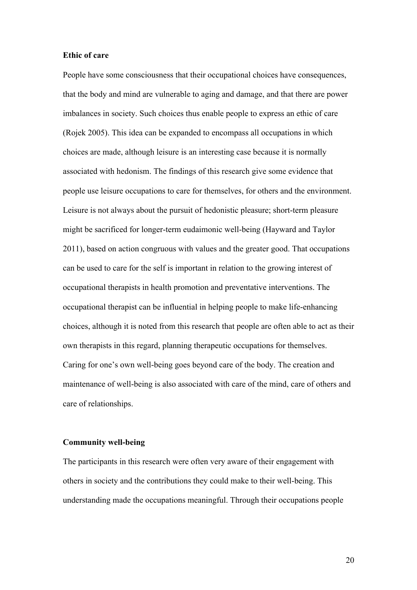#### **Ethic of care**

People have some consciousness that their occupational choices have consequences, that the body and mind are vulnerable to aging and damage, and that there are power imbalances in society. Such choices thus enable people to express an ethic of care (Rojek 2005). This idea can be expanded to encompass all occupations in which choices are made, although leisure is an interesting case because it is normally associated with hedonism. The findings of this research give some evidence that people use leisure occupations to care for themselves, for others and the environment. Leisure is not always about the pursuit of hedonistic pleasure; short-term pleasure might be sacrificed for longer-term eudaimonic well-being (Hayward and Taylor 2011), based on action congruous with values and the greater good. That occupations can be used to care for the self is important in relation to the growing interest of occupational therapists in health promotion and preventative interventions. The occupational therapist can be influential in helping people to make life-enhancing choices, although it is noted from this research that people are often able to act as their own therapists in this regard, planning therapeutic occupations for themselves. Caring for one's own well-being goes beyond care of the body. The creation and maintenance of well-being is also associated with care of the mind, care of others and care of relationships.

#### **Community well-being**

The participants in this research were often very aware of their engagement with others in society and the contributions they could make to their well-being. This understanding made the occupations meaningful. Through their occupations people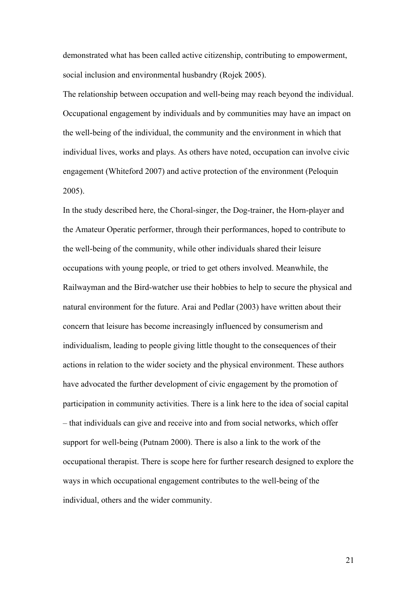demonstrated what has been called active citizenship, contributing to empowerment, social inclusion and environmental husbandry (Rojek 2005).

The relationship between occupation and well-being may reach beyond the individual. Occupational engagement by individuals and by communities may have an impact on the well-being of the individual, the community and the environment in which that individual lives, works and plays. As others have noted, occupation can involve civic engagement (Whiteford 2007) and active protection of the environment (Peloquin 2005).

In the study described here, the Choral-singer, the Dog-trainer, the Horn-player and the Amateur Operatic performer, through their performances, hoped to contribute to the well-being of the community, while other individuals shared their leisure occupations with young people, or tried to get others involved. Meanwhile, the Railwayman and the Bird-watcher use their hobbies to help to secure the physical and natural environment for the future. Arai and Pedlar (2003) have written about their concern that leisure has become increasingly influenced by consumerism and individualism, leading to people giving little thought to the consequences of their actions in relation to the wider society and the physical environment. These authors have advocated the further development of civic engagement by the promotion of participation in community activities. There is a link here to the idea of social capital – that individuals can give and receive into and from social networks, which offer support for well-being (Putnam 2000). There is also a link to the work of the occupational therapist. There is scope here for further research designed to explore the ways in which occupational engagement contributes to the well-being of the individual, others and the wider community.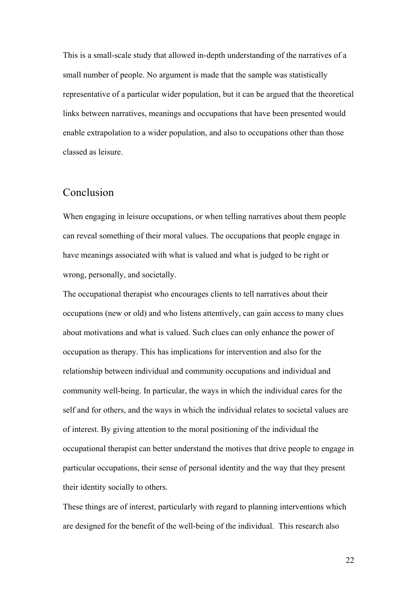This is a small-scale study that allowed in-depth understanding of the narratives of a small number of people. No argument is made that the sample was statistically representative of a particular wider population, but it can be argued that the theoretical links between narratives, meanings and occupations that have been presented would enable extrapolation to a wider population, and also to occupations other than those classed as leisure.

# Conclusion

When engaging in leisure occupations, or when telling narratives about them people can reveal something of their moral values. The occupations that people engage in have meanings associated with what is valued and what is judged to be right or wrong, personally, and societally.

The occupational therapist who encourages clients to tell narratives about their occupations (new or old) and who listens attentively, can gain access to many clues about motivations and what is valued. Such clues can only enhance the power of occupation as therapy. This has implications for intervention and also for the relationship between individual and community occupations and individual and community well-being. In particular, the ways in which the individual cares for the self and for others, and the ways in which the individual relates to societal values are of interest. By giving attention to the moral positioning of the individual the occupational therapist can better understand the motives that drive people to engage in particular occupations, their sense of personal identity and the way that they present their identity socially to others.

These things are of interest, particularly with regard to planning interventions which are designed for the benefit of the well-being of the individual. This research also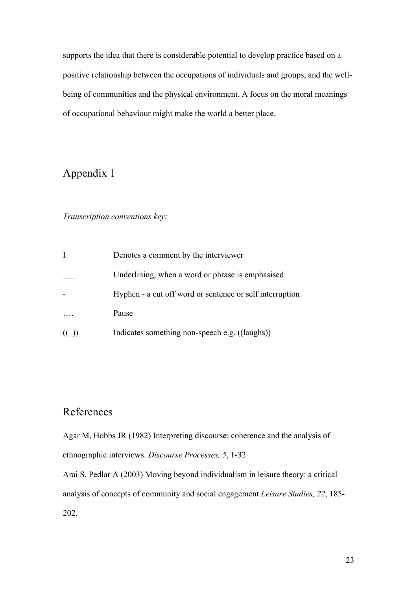supports the idea that there is considerable potential to develop practice based on a positive relationship between the occupations of individuals and groups, and the wellbeing of communities and the physical environment. A focus on the moral meanings of occupational behaviour might make the world a better place.

# Appendix 1

## *Transcription conventions key:*

| Denotes a comment by the interviewer                     |
|----------------------------------------------------------|
| Underlining, when a word or phrase is emphasised         |
| Hyphen - a cut off word or sentence or self interruption |
| Pause                                                    |
| Indicates something non-speech e.g. ((laughs))           |

# References

Agar M, Hobbs JR (1982) Interpreting discourse: coherence and the analysis of ethnographic interviews. *Discourse Processes, 5*, 1-32

Arai S, Pedlar A (2003) Moving beyond individualism in leisure theory: a critical analysis of concepts of community and social engagement *Leisure Studies, 22*, 185- 202.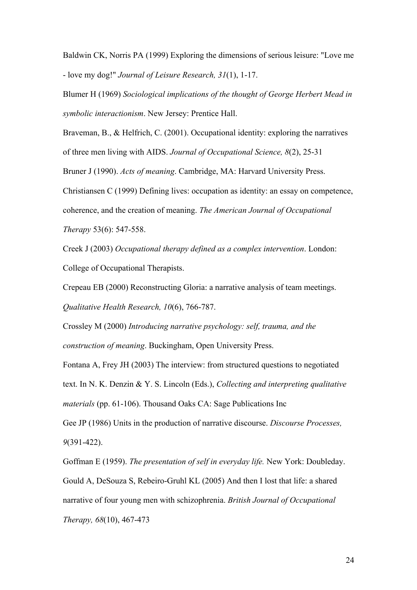Baldwin CK, Norris PA (1999) Exploring the dimensions of serious leisure: "Love me - love my dog!" *Journal of Leisure Research, 31*(1), 1-17.

Blumer H (1969) *Sociological implications of the thought of George Herbert Mead in symbolic interactionism*. New Jersey: Prentice Hall.

Braveman, B., & Helfrich, C. (2001). Occupational identity: exploring the narratives of three men living with AIDS. *Journal of Occupational Science, 8*(2), 25-31

Bruner J (1990). *Acts of meaning*. Cambridge, MA: Harvard University Press.

Christiansen C (1999) Defining lives: occupation as identity: an essay on competence,

coherence, and the creation of meaning. *The American Journal of Occupational Therapy* 53(6): 547-558.

Creek J (2003) *Occupational therapy defined as a complex intervention*. London: College of Occupational Therapists.

Crepeau EB (2000) Reconstructing Gloria: a narrative analysis of team meetings. *Qualitative Health Research, 10*(6), 766-787.

Crossley M (2000) *Introducing narrative psychology: self, trauma, and the construction of meaning*. Buckingham, Open University Press.

Fontana A, Frey JH (2003) The interview: from structured questions to negotiated text. In N. K. Denzin & Y. S. Lincoln (Eds.), *Collecting and interpreting qualitative materials* (pp. 61-106). Thousand Oaks CA: Sage Publications Inc

Gee JP (1986) Units in the production of narrative discourse. *Discourse Processes, 9*(391-422).

Goffman E (1959). *The presentation of self in everyday life.* New York: Doubleday. Gould A, DeSouza S, Rebeiro-Gruhl KL (2005) And then I lost that life: a shared narrative of four young men with schizophrenia. *British Journal of Occupational Therapy, 68*(10), 467-473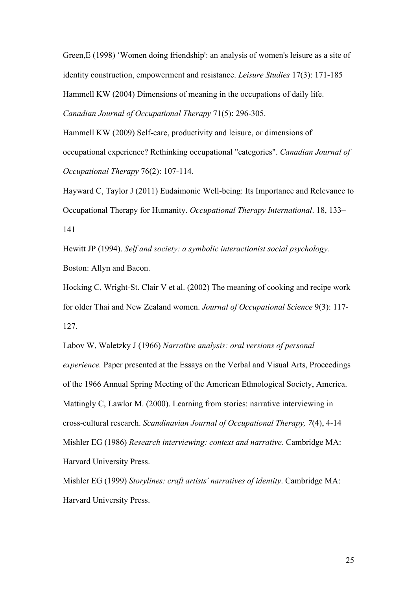Green,E (1998) 'Women doing friendship': an analysis of women's leisure as a site of identity construction, empowerment and resistance. *Leisure Studies* 17(3): 171-185 Hammell KW (2004) Dimensions of meaning in the occupations of daily life. *Canadian Journal of Occupational Therapy* 71(5): 296-305.

Hammell KW (2009) Self-care, productivity and leisure, or dimensions of occupational experience? Rethinking occupational "categories". *Canadian Journal of Occupational Therapy* 76(2): 107-114.

Hayward C, Taylor J (2011) Eudaimonic Well-being: Its Importance and Relevance to Occupational Therapy for Humanity. *Occupational Therapy International*. 18, 133– 141

Hewitt JP (1994). *Self and society: a symbolic interactionist social psychology.* Boston: Allyn and Bacon.

Hocking C, Wright-St. Clair V et al. (2002) The meaning of cooking and recipe work for older Thai and New Zealand women. *Journal of Occupational Science* 9(3): 117- 127.

Labov W, Waletzky J (1966) *Narrative analysis: oral versions of personal experience.* Paper presented at the Essays on the Verbal and Visual Arts, Proceedings of the 1966 Annual Spring Meeting of the American Ethnological Society, America. Mattingly C, Lawlor M. (2000). Learning from stories: narrative interviewing in cross-cultural research. *Scandinavian Journal of Occupational Therapy, 7*(4), 4-14 Mishler EG (1986) *Research interviewing: context and narrative*. Cambridge MA: Harvard University Press.

Mishler EG (1999) *Storylines: craft artists' narratives of identity*. Cambridge MA: Harvard University Press.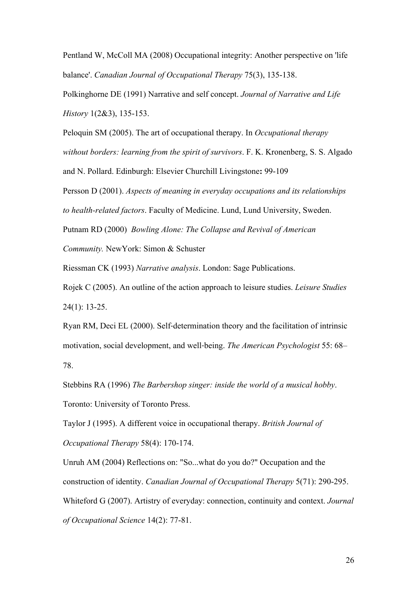Pentland W, McColl MA (2008) Occupational integrity: Another perspective on 'life balance'. *Canadian Journal of Occupational Therapy* 75(3), 135-138.

Polkinghorne DE (1991) Narrative and self concept. *Journal of Narrative and Life History* 1(2&3), 135-153.

Peloquin SM (2005). The art of occupational therapy. In *Occupational therapy without borders: learning from the spirit of survivors*. F. K. Kronenberg, S. S. Algado and N. Pollard. Edinburgh: Elsevier Churchill Livingstone**:** 99-109

Persson D (2001). *Aspects of meaning in everyday occupations and its relationships* 

*to health-related factors*. Faculty of Medicine. Lund, Lund University, Sweden.

Putnam RD (2000) *Bowling Alone: The Collapse and Revival of American* 

*Community.* NewYork: Simon & Schuster

Riessman CK (1993) *Narrative analysis*. London: Sage Publications.

Rojek C (2005). An outline of the action approach to leisure studies. *Leisure Studies* 24(1): 13-25.

Ryan RM, Deci EL (2000). Self‐determination theory and the facilitation of intrinsic motivation, social development, and well‐being. *The American Psychologist* 55: 68– 78.

Stebbins RA (1996) *The Barbershop singer: inside the world of a musical hobby*. Toronto: University of Toronto Press.

Taylor J (1995). A different voice in occupational therapy. *British Journal of Occupational Therapy* 58(4): 170-174.

Unruh AM (2004) Reflections on: "So...what do you do?" Occupation and the construction of identity. *Canadian Journal of Occupational Therapy* 5(71): 290-295. Whiteford G (2007). Artistry of everyday: connection, continuity and context. *Journal of Occupational Science* 14(2): 77-81.